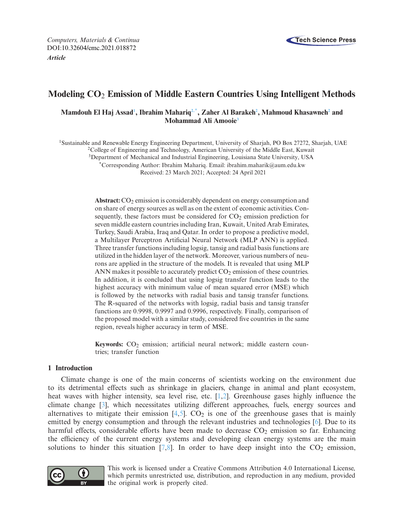

# **Modeling CO**<sup>2</sup> **Emission of Middle Eastern Countries Using Intelligent Methods**

 $M$ amdouh El Haj Assad<sup>1</sup>, Ibrahim Mahariq<sup>2,\*</sup>, Zaher Al Barakeh<sup>2</sup>, Mahmoud Khasawneh<sup>2</sup> and **Mohammad Ali Amooi[e3](#page-0-3)**

<span id="page-0-0"></span>1Sustainable and Renewable Energy Engineering Department, University of Sharjah, PO Box 27272, Sharjah, UAE

<span id="page-0-1"></span><sup>2</sup>College of Engineering and Technology, American University of the Middle East, Kuwait

<span id="page-0-3"></span>3Department of Mechanical and Industrial Engineering, Louisiana State University, USA

<span id="page-0-2"></span>\*Corresponding Author: Ibrahim Mahariq. Email: ibrahim.maharik@aum.edu.kw

Received: 23 March 2021; Accepted: 24 April 2021

Abstract: CO<sub>2</sub> emission is considerably dependent on energy consumption and on share of energy sources as well as on the extent of economic activities. Consequently, these factors must be considered for  $CO<sub>2</sub>$  emission prediction for seven middle eastern countries including Iran, Kuwait, United Arab Emirates, Turkey, Saudi Arabia, Iraq and Qatar. In order to propose a predictive model, a Multilayer Perceptron Artificial Neural Network (MLP ANN) is applied. Three transfer functions including logsig, tansig and radial basis functions are utilized in the hidden layer of the network. Moreover, various numbers of neurons are applied in the structure of the models. It is revealed that using MLP ANN makes it possible to accurately predict  $CO<sub>2</sub>$  emission of these countries. In addition, it is concluded that using logsig transfer function leads to the highest accuracy with minimum value of mean squared error (MSE) which is followed by the networks with radial basis and tansig transfer functions. The R-squared of the networks with logsig, radial basis and tansig transfer functions are 0.9998, 0.9997 and 0.9996, respectively. Finally, comparison of the proposed model with a similar study, considered five countries in the same region, reveals higher accuracy in term of MSE.

Keywords: CO<sub>2</sub> emission; artificial neural network; middle eastern countries; transfer function

#### **1 Introduction**

Climate change is one of the main concerns of scientists working on the environment due to its detrimental effects such as shrinkage in glaciers, change in animal and plant ecosystem, heat waves with higher intensity, sea level rise, etc. [\[1](#page-12-0)[,2](#page-12-1)]. Greenhouse gases highly influence the climate change [\[3\]](#page-12-2), which necessitates utilizing different approaches, fuels, energy sources and alternatives to mitigate their emission  $[4,5]$  $[4,5]$  $[4,5]$ .  $CO<sub>2</sub>$  is one of the greenhouse gases that is mainly emitted by energy consumption and through the relevant industries and technologies [\[6\]](#page-13-2). Due to its harmful effects, considerable efforts have been made to decrease  $CO<sub>2</sub>$  emission so far. Enhancing the efficiency of the current energy systems and developing clean energy systems are the main solutions to hinder this situation  $[7,8]$  $[7,8]$  $[7,8]$ . In order to have deep insight into the  $CO<sub>2</sub>$  emission,



This work is licensed under a Creative Commons Attribution 4.0 International License, which permits unrestricted use, distribution, and reproduction in any medium, provided the original work is properly cited.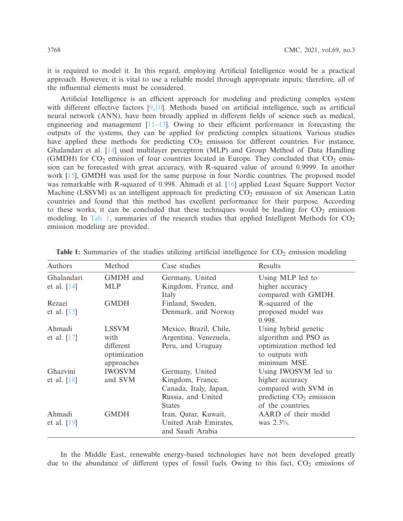it is required to model it. In this regard, employing Artificial Intelligence would be a practical approach. However, it is vital to use a reliable model through appropriate inputs; therefore, all of the influential elements must be considered.

Artificial Intelligence is an efficient approach for modeling and predicting complex system with different effective factors [\[9](#page-13-5)[,10](#page-13-6)]. Methods based on artificial intelligence, such as artificial neural network (ANN), have been broadly applied in different fields of science such as medical, engineering and management  $[11-13]$  $[11-13]$ . Owing to their efficient performance in forecasting the outputs of the systems, they can be applied for predicting complex situations. Various studies have applied these methods for predicting  $CO<sub>2</sub>$  emission for different countries. For instance, Ghalandari et al. [\[14](#page-13-9)] used multilayer perceptron (MLP) and Group Method of Data Handling (GMDH) for  $CO_2$  emission of four countries located in Europe. They concluded that  $CO_2$  emission can be forecasted with great accuracy, with R-squared value of around 0.9999. In another work [\[15\]](#page-13-10), GMDH was used for the same purpose in four Nordic countries. The proposed model was remarkable with R-squared of 0.998. Ahmadi et al. [\[16\]](#page-13-11) applied Least Square Support Vector Machine (LSSVM) as an intelligent approach for predicting  $CO<sub>2</sub>$  emission of six American Latin countries and found that this method has excellent performance for their purpose. According to these works, it can be concluded that these techniques would be leading for  $CO<sub>2</sub>$  emission modeling. In [Tab. 1,](#page-1-0) summaries of the research studies that applied Intelligent Methods for  $CO<sub>2</sub>$ emission modeling are provided.

| Authors                     | Method                                                          | Case studies                                                                                        | Results                                                                                                          |
|-----------------------------|-----------------------------------------------------------------|-----------------------------------------------------------------------------------------------------|------------------------------------------------------------------------------------------------------------------|
| Ghalandari<br>et al. $[14]$ | GMDH and<br><b>MLP</b>                                          | Germany, United<br>Kingdom, France, and<br>Italy                                                    | Using MLP led to<br>higher accuracy<br>compared with GMDH.                                                       |
| Rezaei<br>et al. $[15]$     | <b>GMDH</b>                                                     | Finland, Sweden,<br>Denmark, and Norway                                                             | R-squared of the<br>proposed model was<br>0.998.                                                                 |
| Ahmadi<br>et al. $[17]$     | <b>LSSVM</b><br>with<br>different<br>optimization<br>approaches | Mexico, Brazil, Chile,<br>Argentina, Venezuela,<br>Peru, and Uruguay                                | Using hybrid genetic<br>algorithm and PSO as<br>optimization method led<br>to outputs with<br>minimum MSE.       |
| Ghazvini<br>et al. $[18]$   | <b>IWOSVM</b><br>and SVM                                        | Germany, United<br>Kingdom, France,<br>Canada, Italy, Japan,<br>Russia, and United<br><b>States</b> | Using IWOSVM led to<br>higher accuracy<br>compared with SVM in<br>predicting $CO2$ emission<br>of the countries. |
| Ahmadi<br>et al. $[19]$     | <b>GMDH</b>                                                     | Iran, Qatar, Kuwait,<br>United Arab Emirates,<br>and Saudi Arabia                                   | AARD of their model<br>was 2.3%.                                                                                 |

<span id="page-1-0"></span>**Table 1:** Summaries of the studies utilizing artificial intelligence for  $CO<sub>2</sub>$  emission modeling

In the Middle East, renewable energy-based technologies have not been developed greatly due to the abundance of different types of fossil fuels. Owing to this fact,  $CO<sub>2</sub>$  emissions of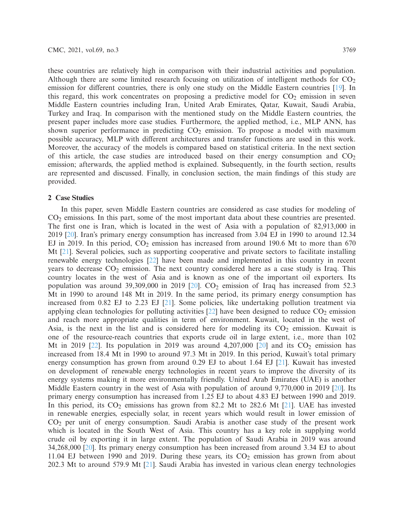these countries are relatively high in comparison with their industrial activities and population. Although there are some limited research focusing on utilization of intelligent methods for  $CO<sub>2</sub>$ emission for different countries, there is only one study on the Middle Eastern countries [\[19](#page-13-14)]. In this regard, this work concentrates on proposing a predictive model for  $CO<sub>2</sub>$  emission in seven Middle Eastern countries including Iran, United Arab Emirates, Qatar, Kuwait, Saudi Arabia, Turkey and Iraq. In comparison with the mentioned study on the Middle Eastern countries, the present paper includes more case studies. Furthermore, the applied method, i.e., MLP ANN, has shown superior performance in predicting  $CO<sub>2</sub>$  emission. To propose a model with maximum possible accuracy, MLP with different architectures and transfer functions are used in this work. Moreover, the accuracy of the models is compared based on statistical criteria. In the next section of this article, the case studies are introduced based on their energy consumption and  $CO<sub>2</sub>$ emission; afterwards, the applied method is explained. Subsequently, in the fourth section, results are represented and discussed. Finally, in conclusion section, the main findings of this study are provided.

#### **2 Case Studies**

In this paper, seven Middle Eastern countries are considered as case studies for modeling of CO2 emissions. In this part, some of the most important data about these countries are presented. The first one is Iran, which is located in the west of Asia with a population of 82,913,000 in 2019 [\[20\]](#page-13-15). Iran's primary energy consumption has increased from 3.04 EJ in 1990 to around 12.34 EJ in 2019. In this period,  $CO<sub>2</sub>$  emission has increased from around 190.6 Mt to more than 670 Mt [\[21](#page-14-0)]. Several policies, such as supporting cooperative and private sectors to facilitate installing renewable energy technologies [\[22\]](#page-14-1) have been made and implemented in this country in recent years to decrease  $CO<sub>2</sub>$  emission. The next country considered here as a case study is Iraq. This country locates in the west of Asia and is known as one of the important oil exporters. Its population was around 39,309,000 in 2019 [\[20\]](#page-13-15).  $CO<sub>2</sub>$  emission of Iraq has increased from 52.3 Mt in 1990 to around 148 Mt in 2019. In the same period, its primary energy consumption has increased from  $0.82$  EJ to  $2.23$  EJ  $[21]$  $[21]$ . Some policies, like undertaking pollution treatment via applying clean technologies for polluting activities  $[22]$  $[22]$  have been designed to reduce  $CO<sub>2</sub>$  emission and reach more appropriate qualities in term of environment. Kuwait, located in the west of Asia, is the next in the list and is considered here for modeling its  $CO<sub>2</sub>$  emission. Kuwait is one of the resource-reach countries that exports crude oil in large extent, i.e., more than 102 Mt in 2019 [\[22](#page-14-1)]. Its population in 2019 was around  $4,207,000$  [\[20\]](#page-13-15) and its  $CO_2$  emission has increased from 18.4 Mt in 1990 to around 97.3 Mt in 2019. In this period, Kuwait's total primary energy consumption has grown from around 0.29 EJ to about 1.64 EJ [\[21\]](#page-14-0). Kuwait has invested on development of renewable energy technologies in recent years to improve the diversity of its energy systems making it more environmentally friendly. United Arab Emirates (UAE) is another Middle Eastern country in the west of Asia with population of around 9,770,000 in 2019 [\[20\]](#page-13-15). Its primary energy consumption has increased from 1.25 EJ to about 4.83 EJ between 1990 and 2019. In this period, its  $CO<sub>2</sub>$  emissions has grown from 82.2 Mt to 282.6 Mt [\[21\]](#page-14-0). UAE has invested in renewable energies, especially solar, in recent years which would result in lower emission of CO2 per unit of energy consumption. Saudi Arabia is another case study of the present work which is located in the South West of Asia. This country has a key role in supplying world crude oil by exporting it in large extent. The population of Saudi Arabia in 2019 was around 34,268,000 [\[20](#page-13-15)]. Its primary energy consumption has been increased from around 3.34 EJ to about 11.04 EJ between 1990 and 2019. During these years, its  $CO<sub>2</sub>$  emission has grown from about 202.3 Mt to around 579.9 Mt [\[21](#page-14-0)]. Saudi Arabia has invested in various clean energy technologies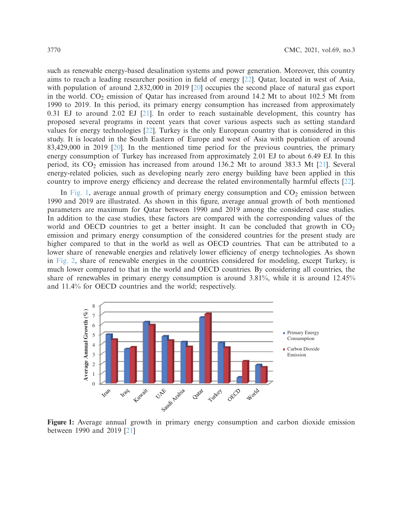such as renewable energy-based desalination systems and power generation. Moreover, this country aims to reach a leading researcher position in field of energy [\[22\]](#page-14-1). Qatar, located in west of Asia, with population of around 2,832,000 in 2019 [\[20\]](#page-13-15) occupies the second place of natural gas export in the world.  $CO_2$  emission of Qatar has increased from around 14.2 Mt to about 102.5 Mt from 1990 to 2019. In this period, its primary energy consumption has increased from approximately 0.31 EJ to around 2.02 EJ  $[21]$ . In order to reach sustainable development, this country has proposed several programs in recent years that cover various aspects such as setting standard values for energy technologies [\[22](#page-14-1)]. Turkey is the only European country that is considered in this study. It is located in the South Eastern of Europe and west of Asia with population of around 83,429,000 in 2019 [\[20](#page-13-15)]. In the mentioned time period for the previous countries, the primary energy consumption of Turkey has increased from approximately 2.01 EJ to about 6.49 EJ. In this period, its  $CO_2$  emission has increased from around 136.2 Mt to around 383.3 Mt [\[21\]](#page-14-0). Several energy-related policies, such as developing nearly zero energy building have been applied in this country to improve energy efficiency and decrease the related environmentally harmful effects [\[22\]](#page-14-1).

In [Fig. 1,](#page-3-0) average annual growth of primary energy consumption and  $CO<sub>2</sub>$  emission between 1990 and 2019 are illustrated. As shown in this figure, average annual growth of both mentioned parameters are maximum for Qatar between 1990 and 2019 among the considered case studies. In addition to the case studies, these factors are compared with the corresponding values of the world and OECD countries to get a better insight. It can be concluded that growth in  $CO<sub>2</sub>$ emission and primary energy consumption of the considered countries for the present study are higher compared to that in the world as well as OECD countries. That can be attributed to a lower share of renewable energies and relatively lower efficiency of energy technologies. As shown in [Fig. 2,](#page-4-0) share of renewable energies in the countries considered for modeling, except Turkey, is much lower compared to that in the world and OECD countries. By considering all countries, the share of renewables in primary energy consumption is around 3.81%, while it is around 12.45% and 11.4% for OECD countries and the world; respectively.

<span id="page-3-0"></span>

**Figure 1:** Average annual growth in primary energy consumption and carbon dioxide emission between 1990 and 2019 [\[21\]](#page-14-0)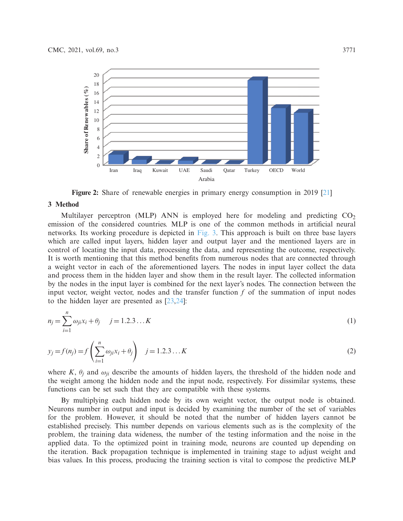

<span id="page-4-0"></span>**Figure 2:** Share of renewable energies in primary energy consumption in 2019 [\[21\]](#page-14-0)

#### **3 Method**

Multilayer perceptron (MLP) ANN is employed here for modeling and predicting  $CO<sub>2</sub>$ emission of the considered countries. MLP is one of the common methods in artificial neural networks. Its working procedure is depicted in [Fig. 3.](#page-5-0) This approach is built on three base layers which are called input layers, hidden layer and output layer and the mentioned layers are in control of locating the input data, processing the data, and representing the outcome, respectively. It is worth mentioning that this method benefits from numerous nodes that are connected through a weight vector in each of the aforementioned layers. The nodes in input layer collect the data and process them in the hidden layer and show them in the result layer. The collected information by the nodes in the input layer is combined for the next layer's nodes. The connection between the input vector, weight vector, nodes and the transfer function *f* of the summation of input nodes to the hidden layer are presented as [\[23](#page-14-2)[,24\]](#page-14-3):

$$
n_j = \sum_{i=1}^n \omega_{ji} x_i + \theta_j \quad j = 1, 2, 3, \dots K
$$
 (1)

$$
y_j = f(n_j) = f\left(\sum_{i=1}^n \omega_{ji} x_i + \theta_j\right) \quad j = 1, 2, 3, \dots K
$$
 (2)

where *K*,  $\theta_i$  and  $\omega_{ii}$  describe the amounts of hidden layers, the threshold of the hidden node and the weight among the hidden node and the input node, respectively. For dissimilar systems, these functions can be set such that they are compatible with these systems.

By multiplying each hidden node by its own weight vector, the output node is obtained. Neurons number in output and input is decided by examining the number of the set of variables for the problem. However, it should be noted that the number of hidden layers cannot be established precisely. This number depends on various elements such as is the complexity of the problem, the training data wideness, the number of the testing information and the noise in the applied data. To the optimized point in training mode, neurons are counted up depending on the iteration. Back propagation technique is implemented in training stage to adjust weight and bias values. In this process, producing the training section is vital to compose the predictive MLP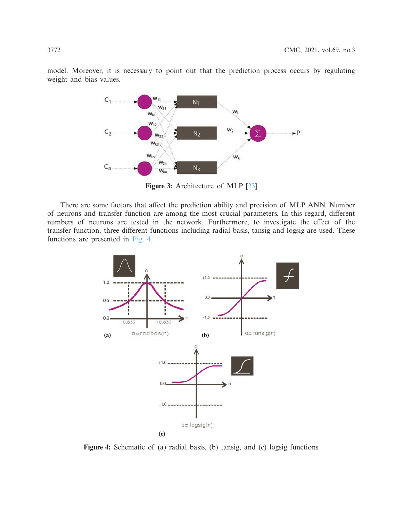model. Moreover, it is necessary to point out that the prediction process occurs by regulating weight and bias values.



<span id="page-5-0"></span>**Figure 3:** Architecture of MLP [\[23\]](#page-14-2)

There are some factors that affect the prediction ability and precision of MLP ANN. Number of neurons and transfer function are among the most crucial parameters. In this regard, different numbers of neurons are tested in the network. Furthermore, to investigate the effect of the transfer function, three different functions including radial basis, tansig and logsig are used. These functions are presented in [Fig. 4.](#page-5-1)



<span id="page-5-1"></span>**Figure 4:** Schematic of (a) radial basis, (b) tansig, and (c) logsig functions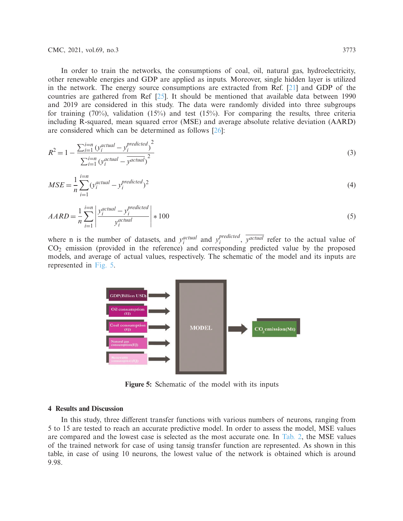CMC, 2021, vol.69, no.3 3773

In order to train the networks, the consumptions of coal, oil, natural gas, hydroelectricity, other renewable energies and GDP are applied as inputs. Moreover, single hidden layer is utilized in the network. The energy source consumptions are extracted from Ref. [\[21\]](#page-14-0) and GDP of the countries are gathered from Ref [\[25\]](#page-14-4). It should be mentioned that available data between 1990 and 2019 are considered in this study. The data were randomly divided into three subgroups for training  $(70\%)$ , validation  $(15\%)$  and test  $(15\%)$ . For comparing the results, three criteria including R-squared, mean squared error (MSE) and average absolute relative deviation (AARD) are considered which can be determined as follows [\[26](#page-14-5)]:

$$
R^{2} = 1 - \frac{\sum_{i=1}^{i=n} (y_{i}^{actual} - y_{i}^{predicted})^{2}}{\sum_{i=1}^{i=n} (y_{i}^{actual} - y_{actual})^{2}}
$$
(3)

$$
MSE = \frac{1}{n} \sum_{i=1}^{i=n} (y_i^{actual} - y_i^{predicted})^2
$$
\n(4)

$$
AARD = \frac{1}{n} \sum_{i=1}^{i=n} \left| \frac{y_i^{actual} - y_i^{predicted}}{y_i^{actual}} \right| * 100
$$
\n
$$
(5)
$$

where n is the number of datasets, and  $y_i^{actual}$  and  $y_i^{predicted}$ ,  $\overline{y^{actual}}$  refer to the actual value of CO2 emission (provided in the reference) and corresponding predicted value by the proposed models, and average of actual values, respectively. The schematic of the model and its inputs are represented in [Fig. 5.](#page-6-0)



<span id="page-6-0"></span>**Figure 5:** Schematic of the model with its inputs

## **4 Results and Discussion**

In this study, three different transfer functions with various numbers of neurons, ranging from 5 to 15 are tested to reach an accurate predictive model. In order to assess the model, MSE values are compared and the lowest case is selected as the most accurate one. In [Tab. 2,](#page-7-0) the MSE values of the trained network for case of using tansig transfer function are represented. As shown in this table, in case of using 10 neurons, the lowest value of the network is obtained which is around 9.98.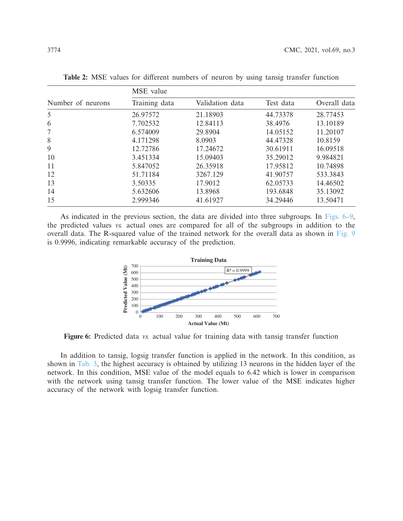|                   | MSE value     |                 |           |              |  |
|-------------------|---------------|-----------------|-----------|--------------|--|
| Number of neurons | Training data | Validation data | Test data | Overall data |  |
| 5                 | 26.97572      | 21.18903        | 44.73378  | 28.77453     |  |
| 6                 | 7.702532      | 12.84113        | 38.4976   | 13.10189     |  |
| 7                 | 6.574009      | 29.8904         | 14.05152  | 11.20107     |  |
| 8                 | 4.171298      | 8.0903          | 44.47328  | 10.8159      |  |
| 9                 | 12.72786      | 17.24672        | 30.61911  | 16.09518     |  |
| 10                | 3.451334      | 15.09403        | 35.29012  | 9.984821     |  |
| 11                | 5.847052      | 26.35918        | 17.95812  | 10.74898     |  |
| 12                | 51.71184      | 3267.129        | 41.90757  | 533.3843     |  |
| 13                | 3.50335       | 17.9012         | 62.05733  | 14.46502     |  |
| 14                | 5.632606      | 13.8968         | 193.6848  | 35.13092     |  |
| 15                | 2.999346      | 41.61927        | 34.29446  | 13.50471     |  |

<span id="page-7-0"></span>**Table 2:** MSE values for different numbers of neuron by using tansig transfer function

As indicated in the previous section, the data are divided into three subgroups. In [Figs. 6–](#page-7-1)[9,](#page-8-0) the predicted values *vs.* actual ones are compared for all of the subgroups in addition to the overall data. The R-squared value of the trained network for the overall data as shown in [Fig. 9](#page-8-0) is 0.9996, indicating remarkable accuracy of the prediction.

<span id="page-7-1"></span>

**Figure 6:** Predicted data *vs.* actual value for training data with tansig transfer function

In addition to tansig, logsig transfer function is applied in the network. In this condition, as shown in [Tab. 3,](#page-9-0) the highest accuracy is obtained by utilizing 13 neurons in the hidden layer of the network. In this condition, MSE value of the model equals to 6.42 which is lower in comparison with the network using tansig transfer function. The lower value of the MSE indicates higher accuracy of the network with logsig transfer function.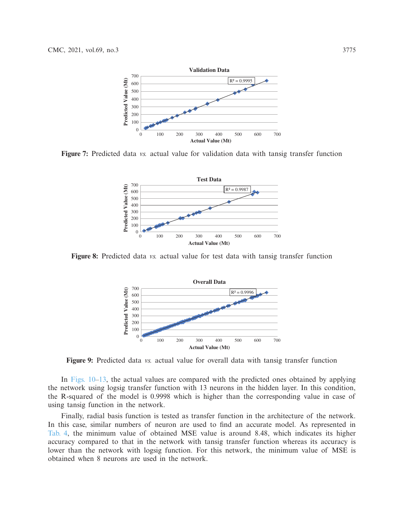

**Figure 7:** Predicted data *vs.* actual value for validation data with tansig transfer function



**Figure 8:** Predicted data *vs.* actual value for test data with tansig transfer function

<span id="page-8-0"></span>

**Figure 9:** Predicted data *vs.* actual value for overall data with tansig transfer function

In [Figs. 10](#page-9-1)[–13,](#page-10-0) the actual values are compared with the predicted ones obtained by applying the network using logsig transfer function with 13 neurons in the hidden layer. In this condition, the R-squared of the model is 0.9998 which is higher than the corresponding value in case of using tansig function in the network.

Finally, radial basis function is tested as transfer function in the architecture of the network. In this case, similar numbers of neuron are used to find an accurate model. As represented in [Tab. 4,](#page-10-1) the minimum value of obtained MSE value is around 8.48, which indicates its higher accuracy compared to that in the network with tansig transfer function whereas its accuracy is lower than the network with logsig function. For this network, the minimum value of MSE is obtained when 8 neurons are used in the network.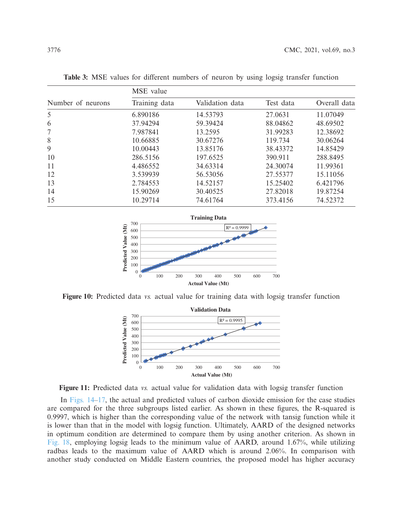|                   | MSE value     |                 |           |              |  |
|-------------------|---------------|-----------------|-----------|--------------|--|
| Number of neurons | Training data | Validation data | Test data | Overall data |  |
| 5                 | 6.890186      | 14.53793        | 27.0631   | 11.07049     |  |
| 6                 | 37.94294      | 59.39424        | 88.04862  | 48.69502     |  |
| 7                 | 7.987841      | 13.2595         | 31.99283  | 12.38692     |  |
| 8                 | 10.66885      | 30.67276        | 119.734   | 30.06264     |  |
| 9                 | 10.00443      | 13.85176        | 38.43372  | 14.85429     |  |
| 10                | 286.5156      | 197.6525        | 390.911   | 288.8495     |  |
| 11                | 4.486552      | 34.63314        | 24.30074  | 11.99361     |  |
| 12                | 3.539939      | 56.53056        | 27.55377  | 15.11056     |  |
| 13                | 2.784553      | 14.52157        | 15.25402  | 6.421796     |  |
| 14                | 15.90269      | 30.40525        | 27.82018  | 19.87254     |  |
| 15                | 10.29714      | 74.61764        | 373.4156  | 74.52372     |  |

<span id="page-9-0"></span>**Table 3:** MSE values for different numbers of neuron by using logsig transfer function



**Figure 10:** Predicted data *vs.* actual value for training data with logsig transfer function

<span id="page-9-1"></span>



In [Figs. 14–](#page-11-0)[17,](#page-11-1) the actual and predicted values of carbon dioxide emission for the case studies are compared for the three subgroups listed earlier. As shown in these figures, the R-squared is 0.9997, which is higher than the corresponding value of the network with tansig function while it is lower than that in the model with logsig function. Ultimately, AARD of the designed networks in optimum condition are determined to compare them by using another criterion. As shown in [Fig. 18,](#page-12-3) employing logsig leads to the minimum value of AARD, around 1.67%, while utilizing radbas leads to the maximum value of AARD which is around 2.06%. In comparison with another study conducted on Middle Eastern countries, the proposed model has higher accuracy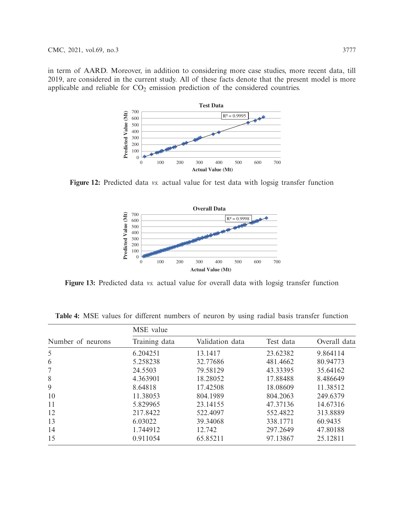in term of AARD. Moreover, in addition to considering more case studies, more recent data, till 2019, are considered in the current study. All of these facts denote that the present model is more applicable and reliable for  $CO<sub>2</sub>$  emission prediction of the considered countries.



**Figure 12:** Predicted data *vs.* actual value for test data with logsig transfer function

<span id="page-10-0"></span>

**Figure 13:** Predicted data *vs.* actual value for overall data with logsig transfer function

|                   | MSE value     |                 |           |              |  |
|-------------------|---------------|-----------------|-----------|--------------|--|
| Number of neurons | Training data | Validation data | Test data | Overall data |  |
| 5                 | 6.204251      | 13.1417         | 23.62382  | 9.864114     |  |
| 6                 | 5.258238      | 32.77686        | 481.4662  | 80.94773     |  |
| 7                 | 24.5503       | 79.58129        | 43.33395  | 35.64162     |  |
| 8                 | 4.363901      | 18.28052        | 17.88488  | 8.486649     |  |
| 9                 | 8.64818       | 17.42508        | 18.08609  | 11.38512     |  |
| 10                | 11.38053      | 804.1989        | 804.2063  | 249.6379     |  |
| 11                | 5.829965      | 23.14155        | 47.37136  | 14.67316     |  |
| 12                | 217.8422      | 522.4097        | 552.4822  | 313.8889     |  |
| 13                | 6.03022       | 39.34068        | 338.1771  | 60.9435      |  |
| 14                | 1.744912      | 12.742          | 297.2649  | 47.80188     |  |
| 15                | 0.911054      | 65.85211        | 97.13867  | 25.12811     |  |

<span id="page-10-1"></span>**Table 4:** MSE values for different numbers of neuron by using radial basis transfer function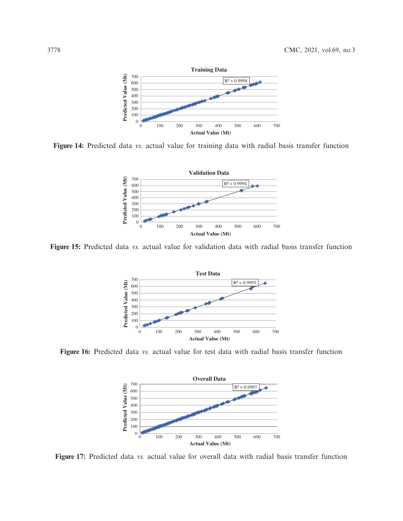

**Figure 14:** Predicted data *vs.* actual value for training data with radial basis transfer function

<span id="page-11-0"></span>

**Figure 15:** Predicted data *vs.* actual value for validation data with radial basis transfer function



**Figure 16:** Predicted data *vs.* actual value for test data with radial basis transfer function

<span id="page-11-1"></span>

**Figure 17:** Predicted data *vs.* actual value for overall data with radial basis transfer function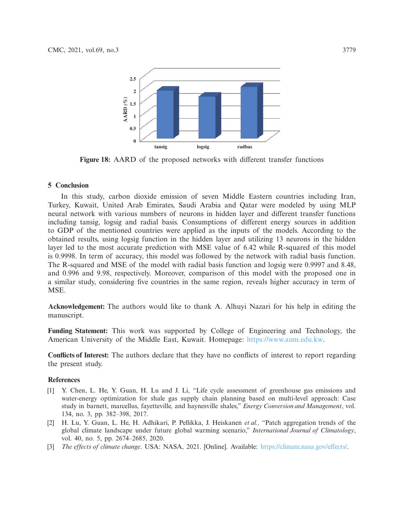<span id="page-12-3"></span>

**Figure 18:** AARD of the proposed networks with different transfer functions

### **5 Conclusion**

In this study, carbon dioxide emission of seven Middle Eastern countries including Iran, Turkey, Kuwait, United Arab Emirates, Saudi Arabia and Qatar were modeled by using MLP neural network with various numbers of neurons in hidden layer and different transfer functions including tansig, logsig and radial basis. Consumptions of different energy sources in addition to GDP of the mentioned countries were applied as the inputs of the models. According to the obtained results, using logsig function in the hidden layer and utilizing 13 neurons in the hidden layer led to the most accurate prediction with MSE value of 6.42 while R-squared of this model is 0.9998. In term of accuracy, this model was followed by the network with radial basis function. The R-squared and MSE of the model with radial basis function and logsig were 0.9997 and 8.48, and 0.996 and 9.98, respectively. Moreover, comparison of this model with the proposed one in a similar study, considering five countries in the same region, reveals higher accuracy in term of MSE.

**Acknowledgement:** The authors would like to thank A. Alhuyi Nazari for his help in editing the manuscript.

**Funding Statement:** This work was supported by College of Engineering and Technology, the American University of the Middle East, Kuwait. Homepage: [https://www.aum.edu.kw.](https://www.aum.edu.kw)

**Conflicts of Interest:** The authors declare that they have no conflicts of interest to report regarding the present study.

## **References**

- <span id="page-12-0"></span>[1] Y. Chen, L. He, Y. Guan, H. Lu and J. Li, "Life cycle assessment of greenhouse gas emissions and water-energy optimization for shale gas supply chain planning based on multi-level approach: Case study in barnett, marcellus, fayetteville, and haynesville shales," *Energy Conversion and Management*, vol. 134, no. 3, pp. 382–398, 2017.
- <span id="page-12-1"></span>[2] H. Lu, Y. Guan, L. He, H. Adhikari, P. Pellikka, J. Heiskanen *et al.,* "Patch aggregation trends of the global climate landscape under future global warming scenario," *International Journal of Climatology*, vol. 40, no. 5, pp. 2674–2685, 2020.
- <span id="page-12-2"></span>[3] *The effects of climate change*. USA: NASA, 2021. [Online]. Available: [https://climate.nasa.gov/effects/.](https://climate.nasa.gov/effects/)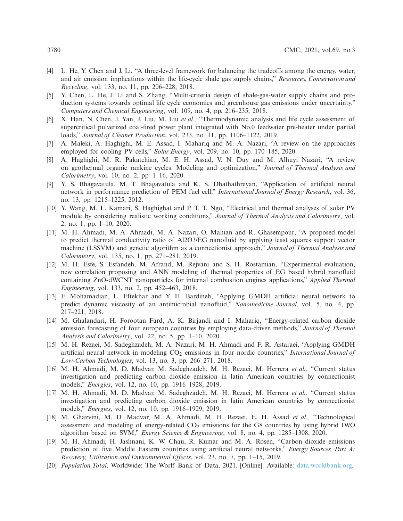- <span id="page-13-0"></span>[4] L. He, Y. Chen and J. Li, "A three-level framework for balancing the tradeoffs among the energy, water, and air emission implications within the life-cycle shale gas supply chains," *Resources, Conservation and Recycling*, vol. 133, no. 11, pp. 206–228, 2018.
- <span id="page-13-1"></span>[5] Y. Chen, L. He, J. Li and S. Zhang, "Multi-criteria design of shale-gas-water supply chains and production systems towards optimal life cycle economics and greenhouse gas emissions under uncertainty," *Computers and Chemical Engineering*, vol. 109, no. 4, pp. 216–235, 2018.
- <span id="page-13-2"></span>[6] X. Han, N. Chen, J. Yan, J. Liu, M. Liu *et al.,* "Thermodynamic analysis and life cycle assessment of supercritical pulverized coal-fired power plant integrated with No.0 feedwater pre-heater under partial loads," *Journal of Cleaner Production*, vol. 233, no. 11, pp. 1106–1122, 2019.
- <span id="page-13-3"></span>[7] A. Maleki, A. Haghighi, M. E. Assad, I. Mahariq and M. A. Nazari, "A review on the approaches employed for cooling PV cells," *Solar Energy*, vol. 209, no. 10, pp. 170–185, 2020.
- <span id="page-13-4"></span>[8] A. Haghighi, M. R. Pakatchian, M. E. H. Assad, V. N. Duy and M. Alhuyi Nazari, "A review on geothermal organic rankine cycles: Modeling and optimization," *Journal of Thermal Analysis and Calorimetry*, vol. 10, no. 2, pp. 1–16, 2020.
- <span id="page-13-5"></span>[9] Y. S. Bhagavatula, M. T. Bhagavatula and K. S. Dhathathreyan, "Application of artificial neural network in performance prediction of PEM fuel cell," *International Journal of Energy Research*, vol. 36, no. 13, pp. 1215–1225, 2012.
- <span id="page-13-6"></span>[10] Y. Wang, M. L. Kamari, S. Haghighat and P. T. T. Ngo, "Electrical and thermal analyses of solar PV module by considering realistic working conditions," *Journal of Thermal Analysis and Calorimetry*, vol. 2, no. 1, pp. 1–10, 2020.
- <span id="page-13-7"></span>[11] M. H. Ahmadi, M. A. Ahmadi, M. A. Nazari, O. Mahian and R. Ghasempour, "A proposed model to predict thermal conductivity ratio of Al2O3/EG nanofluid by applying least squares support vector machine (LSSVM) and genetic algorithm as a connectionist approach," *Journal of Thermal Analysis and Calorimetry*, vol. 135, no. 1, pp. 271–281, 2019.
- [12] M. H. Esfe, S. Esfandeh, M. Afrand, M. Rejvani and S. H. Rostamian, "Experimental evaluation, new correlation proposing and ANN modeling of thermal properties of EG based hybrid nanofluid containing ZnO-dWCNT nanoparticles for internal combustion engines applications," *Applied Thermal Engineering*, vol. 133, no. 2, pp. 452–463, 2018.
- <span id="page-13-8"></span>[13] F. Mohamadian, L. Eftekhar and Y. H. Bardineh, "Applying GMDH artificial neural network to predict dynamic viscosity of an antimicrobial nanofluid," *Nanomedicine Journal*, vol. 5, no. 4, pp. 217–221, 2018.
- <span id="page-13-9"></span>[14] M. Ghalandari, H. Forootan Fard, A. K. Birjandi and I. Mahariq, "Energy-related carbon dioxide emission forecasting of four european countries by employing data-driven methods," *Journal of Thermal Analysis and Calorimetry*, vol. 22, no. 5, pp. 1–10, 2020.
- <span id="page-13-10"></span>[15] M. H. Rezaei, M. Sadeghzadeh, M. A. Nazari, M. H. Ahmadi and F. R. Astaraei, "Applying GMDH artificial neural network in modeling CO<sub>2</sub> emissions in four nordic countries," *International Journal of Low-Carbon Technologies*, vol. 13, no. 3, pp. 266–271, 2018.
- <span id="page-13-11"></span>[16] M. H. Ahmadi, M. D. Madvar, M. Sadeghzadeh, M. H. Rezaei, M. Herrera *et al.,* "Current status investigation and predicting carbon dioxide emission in latin American countries by connectionist models," *Energies*, vol. 12, no. 10, pp. 1916–1928, 2019.
- <span id="page-13-12"></span>[17] M. H. Ahmadi, M. D. Madvar, M. Sadeghzadeh, M. H. Rezaei, M. Herrera *et al.,* "Current status investigation and predicting carbon dioxide emission in latin American countries by connectionist models," *Energies*, vol. 12, no. 10, pp. 1916–1929, 2019.
- <span id="page-13-13"></span>[18] M. Ghazvini, M. D. Madvar, M. A. Ahmadi, M. H. Rezaei, E. H. Assad *et al.,* "Technological assessment and modeling of energy-related  $CO<sub>2</sub>$  emissions for the G8 countries by using hybrid IWO algorithm based on SVM," *Energy Science & Engineering*, vol. 8, no. 4, pp. 1285–1308, 2020.
- <span id="page-13-14"></span>[19] M. H. Ahmadi, H. Jashnani, K. W. Chau, R. Kumar and M. A. Rosen, "Carbon dioxide emissions prediction of five Middle Eastern countries using artificial neural networks," *Energy Sources, Part A: Recovery, Utilization and Environmental Effects*, vol. 23, no. 7, pp. 1–15, 2019.
- <span id="page-13-15"></span>[20] *Population Total*. Worldwide: The Worlf Bank of Data, 2021. [Online]. Available: [data.worldbank.org.](data.worldbank.org)